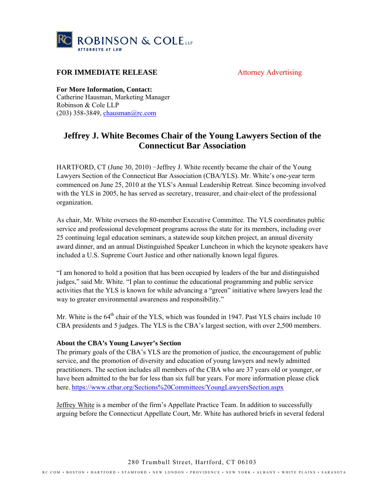

## **FOR IMMEDIATE RELEASE** Attorney Advertising

**For More Information, Contact:** 

Catherine Hausman, Marketing Manager Robinson & Cole LLP (203) 358-3849, chausman@rc.com

## **Jeffrey J. White Becomes Chair of the Young Lawyers Section of the Connecticut Bar Association**

HARTFORD, CT (June 30, 2010) –Jeffrey J. White recently became the chair of the Young Lawyers Section of the Connecticut Bar Association (CBA/YLS). Mr. White's one-year term commenced on June 25, 2010 at the YLS's Annual Leadership Retreat. Since becoming involved with the YLS in 2005, he has served as secretary, treasurer, and chair-elect of the professional organization.

As chair, Mr. White oversees the 80-member Executive Committee. The YLS coordinates public service and professional development programs across the state for its members, including over 25 continuing legal education seminars, a statewide soup kitchen project, an annual diversity award dinner, and an annual Distinguished Speaker Luncheon in which the keynote speakers have included a U.S. Supreme Court Justice and other nationally known legal figures.

"I am honored to hold a position that has been occupied by leaders of the bar and distinguished judges," said Mr. White. "I plan to continue the educational programming and public service activities that the YLS is known for while advancing a "green" initiative where lawyers lead the way to greater environmental awareness and responsibility."

Mr. White is the 64<sup>th</sup> chair of the YLS, which was founded in 1947. Past YLS chairs include 10 CBA presidents and 5 judges. The YLS is the CBA's largest section, with over 2,500 members.

## **About the CBA's Young Lawyer's Section**

The primary goals of the CBA's YLS are the promotion of justice, the encouragement of public service, and the promotion of diversity and education of young lawyers and newly admitted practitioners. The section includes all members of the CBA who are 37 years old or younger, or have been admitted to the bar for less than six full bar years. For more information please click here. https://www.ctbar.org/Sections%20Committees/YoungLawyersSection.aspx

Jeffrey White is a member of the firm's Appellate Practice Team. In addition to successfully arguing before the Connecticut Appellate Court, Mr. White has authored briefs in several federal